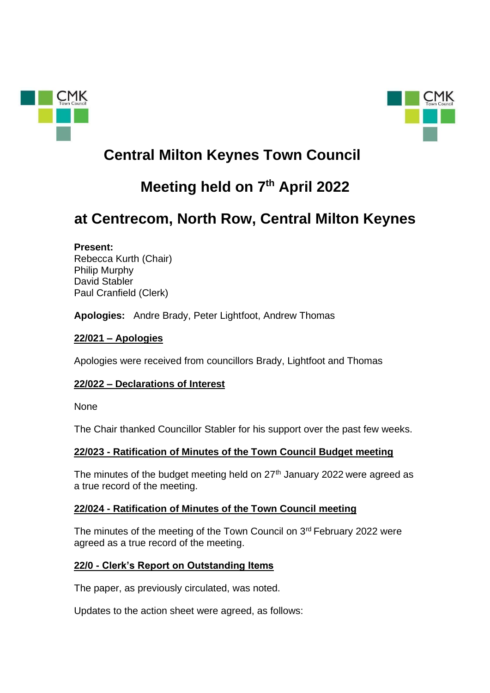



# **Central Milton Keynes Town Council**

# **Meeting held on 7th April 2022**

# **at Centrecom, North Row, Central Milton Keynes**

## **Present:**

Rebecca Kurth (Chair) Philip Murphy David Stabler Paul Cranfield (Clerk)

**Apologies:** Andre Brady, Peter Lightfoot, Andrew Thomas

# **22/021 – Apologies**

Apologies were received from councillors Brady, Lightfoot and Thomas

# **22/022 – Declarations of Interest**

None

The Chair thanked Councillor Stabler for his support over the past few weeks.

# **22/023 - Ratification of Minutes of the Town Council Budget meeting**

The minutes of the budget meeting held on  $27<sup>th</sup>$  January 2022 were agreed as a true record of the meeting.

# **22/024 - Ratification of Minutes of the Town Council meeting**

The minutes of the meeting of the Town Council on 3rd February 2022 were agreed as a true record of the meeting.

# **22/0 - Clerk's Report on Outstanding Items**

The paper, as previously circulated, was noted.

Updates to the action sheet were agreed, as follows: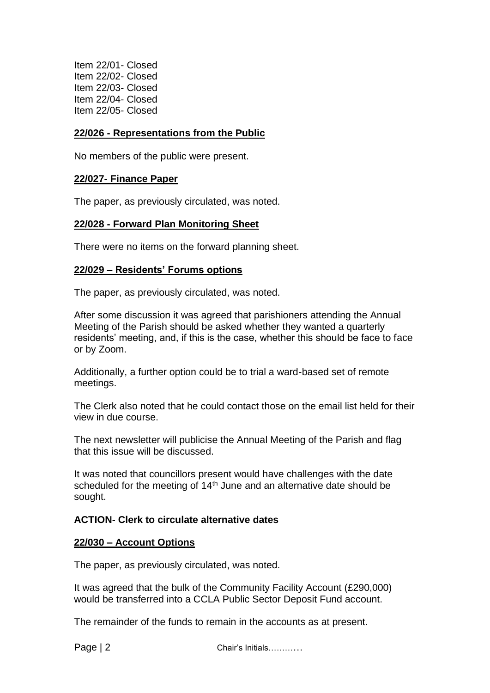Item 22/01- Closed Item 22/02- Closed Item 22/03- Closed Item 22/04- Closed Item 22/05- Closed

## **22/026 - Representations from the Public**

No members of the public were present.

#### **22/027- Finance Paper**

The paper, as previously circulated, was noted.

#### **22/028 - Forward Plan Monitoring Sheet**

There were no items on the forward planning sheet.

## **22/029 – Residents' Forums options**

The paper, as previously circulated, was noted.

After some discussion it was agreed that parishioners attending the Annual Meeting of the Parish should be asked whether they wanted a quarterly residents' meeting, and, if this is the case, whether this should be face to face or by Zoom.

Additionally, a further option could be to trial a ward-based set of remote meetings.

The Clerk also noted that he could contact those on the email list held for their view in due course.

The next newsletter will publicise the Annual Meeting of the Parish and flag that this issue will be discussed.

It was noted that councillors present would have challenges with the date scheduled for the meeting of  $14<sup>th</sup>$  June and an alternative date should be sought.

## **ACTION- Clerk to circulate alternative dates**

#### **22/030 – Account Options**

The paper, as previously circulated, was noted.

It was agreed that the bulk of the Community Facility Account (£290,000) would be transferred into a CCLA Public Sector Deposit Fund account.

The remainder of the funds to remain in the accounts as at present.

Page | 2 Chair's Initials…………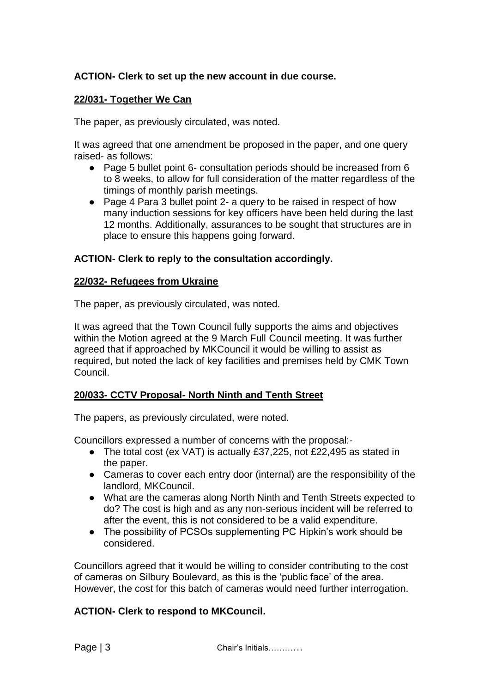## **ACTION- Clerk to set up the new account in due course.**

## **22/031- Together We Can**

The paper, as previously circulated, was noted.

It was agreed that one amendment be proposed in the paper, and one query raised- as follows:

- Page 5 bullet point 6- consultation periods should be increased from 6 to 8 weeks, to allow for full consideration of the matter regardless of the timings of monthly parish meetings.
- Page 4 Para 3 bullet point 2- a query to be raised in respect of how many induction sessions for key officers have been held during the last 12 months. Additionally, assurances to be sought that structures are in place to ensure this happens going forward.

## **ACTION- Clerk to reply to the consultation accordingly.**

## **22/032- Refugees from Ukraine**

The paper, as previously circulated, was noted.

It was agreed that the Town Council fully supports the aims and objectives within the Motion agreed at the 9 March Full Council meeting. It was further agreed that if approached by MKCouncil it would be willing to assist as required, but noted the lack of key facilities and premises held by CMK Town Council.

## **20/033- CCTV Proposal- North Ninth and Tenth Street**

The papers, as previously circulated, were noted.

Councillors expressed a number of concerns with the proposal:-

- The total cost (ex VAT) is actually £37,225, not £22,495 as stated in the paper.
- Cameras to cover each entry door (internal) are the responsibility of the landlord, MKCouncil.
- What are the cameras along North Ninth and Tenth Streets expected to do? The cost is high and as any non-serious incident will be referred to after the event, this is not considered to be a valid expenditure.
- The possibility of PCSOs supplementing PC Hipkin's work should be considered.

Councillors agreed that it would be willing to consider contributing to the cost of cameras on Silbury Boulevard, as this is the 'public face' of the area. However, the cost for this batch of cameras would need further interrogation.

## **ACTION- Clerk to respond to MKCouncil.**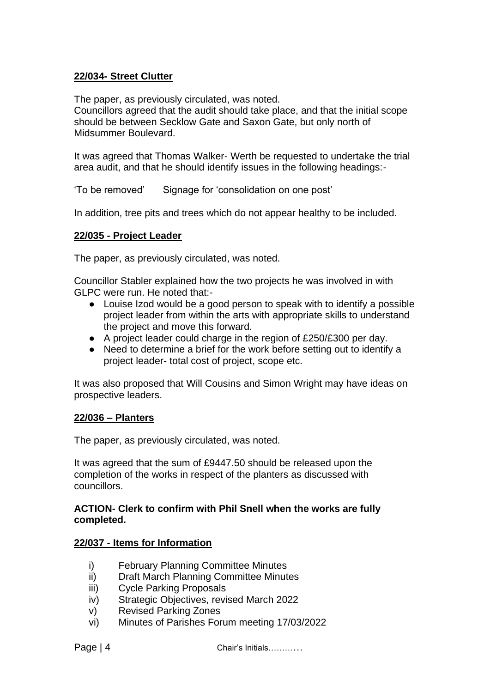## **22/034- Street Clutter**

The paper, as previously circulated, was noted. Councillors agreed that the audit should take place, and that the initial scope should be between Secklow Gate and Saxon Gate, but only north of Midsummer Boulevard.

It was agreed that Thomas Walker- Werth be requested to undertake the trial area audit, and that he should identify issues in the following headings:-

'To be removed' Signage for 'consolidation on one post'

In addition, tree pits and trees which do not appear healthy to be included.

## **22/035 - Project Leader**

The paper, as previously circulated, was noted.

Councillor Stabler explained how the two projects he was involved in with GLPC were run. He noted that:-

- Louise Izod would be a good person to speak with to identify a possible project leader from within the arts with appropriate skills to understand the project and move this forward.
- A project leader could charge in the region of £250/£300 per day.
- Need to determine a brief for the work before setting out to identify a project leader- total cost of project, scope etc.

It was also proposed that Will Cousins and Simon Wright may have ideas on prospective leaders.

## **22/036 – Planters**

The paper, as previously circulated, was noted.

It was agreed that the sum of £9447.50 should be released upon the completion of the works in respect of the planters as discussed with councillors.

#### **ACTION- Clerk to confirm with Phil Snell when the works are fully completed.**

## **22/037 - Items for Information**

- i) February Planning Committee Minutes
- ii) Draft March Planning Committee Minutes
- iii) Cycle Parking Proposals
- iv) Strategic Objectives, revised March 2022
- v) Revised Parking Zones
- vi) Minutes of Parishes Forum meeting 17/03/2022

Page | 4 Chair's Initials…………